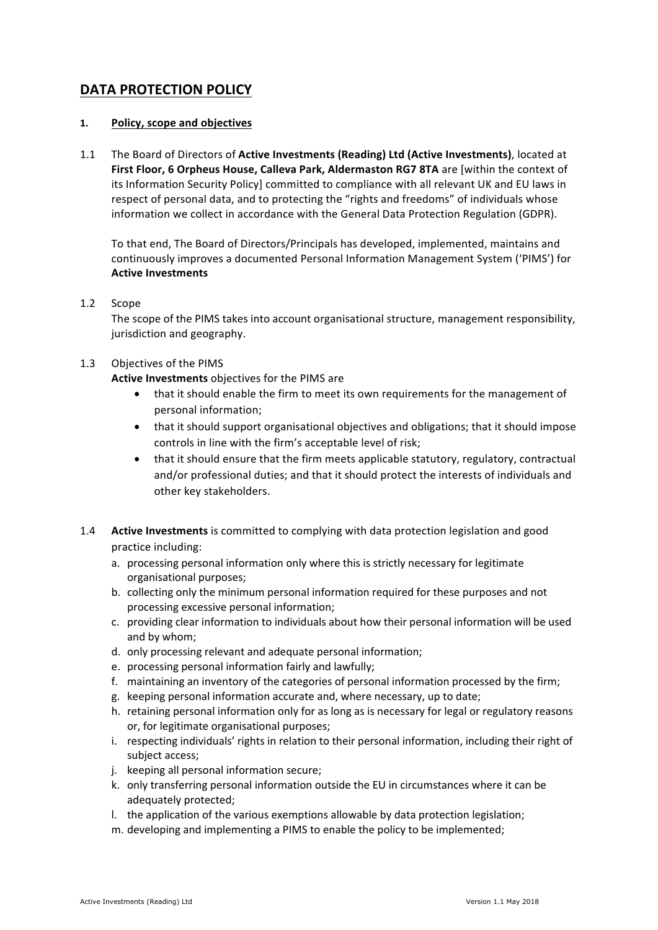# **DATA PROTECTION POLICY**

# **1. Policy, scope and objectives**

1.1 The Board of Directors of **Active Investments (Reading) Ltd (Active Investments)**, located at First Floor, 6 Orpheus House, Calleva Park, Aldermaston RG7 8TA are [within the context of its Information Security Policy] committed to compliance with all relevant UK and EU laws in respect of personal data, and to protecting the "rights and freedoms" of individuals whose information we collect in accordance with the General Data Protection Regulation (GDPR).

To that end, The Board of Directors/Principals has developed, implemented, maintains and continuously improves a documented Personal Information Management System ('PIMS') for **Active Investments** 

# 1.2 Scope

The scope of the PIMS takes into account organisational structure, management responsibility, jurisdiction and geography.

# 1.3 Objectives of the PIMS

**Active Investments** objectives for the PIMS are

- that it should enable the firm to meet its own requirements for the management of personal information;
- that it should support organisational objectives and obligations; that it should impose controls in line with the firm's acceptable level of risk;
- that it should ensure that the firm meets applicable statutory, regulatory, contractual and/or professional duties; and that it should protect the interests of individuals and other key stakeholders.
- 1.4 **Active Investments** is committed to complying with data protection legislation and good practice including:
	- a. processing personal information only where this is strictly necessary for legitimate organisational purposes;
	- b. collecting only the minimum personal information required for these purposes and not processing excessive personal information;
	- c. providing clear information to individuals about how their personal information will be used and by whom;
	- d. only processing relevant and adequate personal information;
	- e. processing personal information fairly and lawfully;
	- f. maintaining an inventory of the categories of personal information processed by the firm;
	- g. keeping personal information accurate and, where necessary, up to date;
	- h. retaining personal information only for as long as is necessary for legal or regulatory reasons or, for legitimate organisational purposes;
	- i. respecting individuals' rights in relation to their personal information, including their right of subject access;
	- j. keeping all personal information secure;
	- k. only transferring personal information outside the EU in circumstances where it can be adequately protected;
	- l. the application of the various exemptions allowable by data protection legislation;
	- m. developing and implementing a PIMS to enable the policy to be implemented;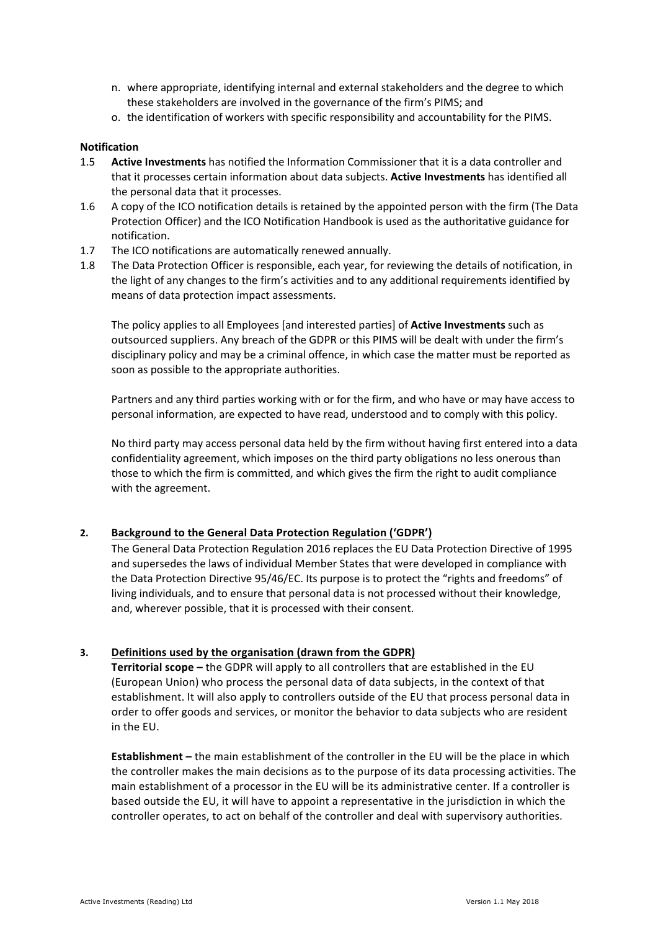- n. where appropriate, identifying internal and external stakeholders and the degree to which these stakeholders are involved in the governance of the firm's PIMS; and
- o. the identification of workers with specific responsibility and accountability for the PIMS.

#### **Notification**

- 1.5 **Active Investments** has notified the Information Commissioner that it is a data controller and that it processes certain information about data subjects. **Active Investments** has identified all the personal data that it processes.
- 1.6 A copy of the ICO notification details is retained by the appointed person with the firm (The Data Protection Officer) and the ICO Notification Handbook is used as the authoritative guidance for notification.
- 1.7 The ICO notifications are automatically renewed annually.
- 1.8 The Data Protection Officer is responsible, each year, for reviewing the details of notification, in the light of any changes to the firm's activities and to any additional requirements identified by means of data protection impact assessments.

The policy applies to all Employees [and interested parties] of **Active Investments** such as outsourced suppliers. Any breach of the GDPR or this PIMS will be dealt with under the firm's disciplinary policy and may be a criminal offence, in which case the matter must be reported as soon as possible to the appropriate authorities.

Partners and any third parties working with or for the firm, and who have or may have access to personal information, are expected to have read, understood and to comply with this policy.

No third party may access personal data held by the firm without having first entered into a data confidentiality agreement, which imposes on the third party obligations no less onerous than those to which the firm is committed, and which gives the firm the right to audit compliance with the agreement.

# 2. Background to the General Data Protection Regulation ('GDPR')

The General Data Protection Regulation 2016 replaces the EU Data Protection Directive of 1995 and supersedes the laws of individual Member States that were developed in compliance with the Data Protection Directive 95/46/EC. Its purpose is to protect the "rights and freedoms" of living individuals, and to ensure that personal data is not processed without their knowledge, and, wherever possible, that it is processed with their consent.

# **3. Definitions used by the organisation (drawn from the GDPR)**

**Territorial scope** – the GDPR will apply to all controllers that are established in the EU (European Union) who process the personal data of data subjects, in the context of that establishment. It will also apply to controllers outside of the EU that process personal data in order to offer goods and services, or monitor the behavior to data subjects who are resident in the EU.

**Establishment** – the main establishment of the controller in the EU will be the place in which the controller makes the main decisions as to the purpose of its data processing activities. The main establishment of a processor in the EU will be its administrative center. If a controller is based outside the EU, it will have to appoint a representative in the jurisdiction in which the controller operates, to act on behalf of the controller and deal with supervisory authorities.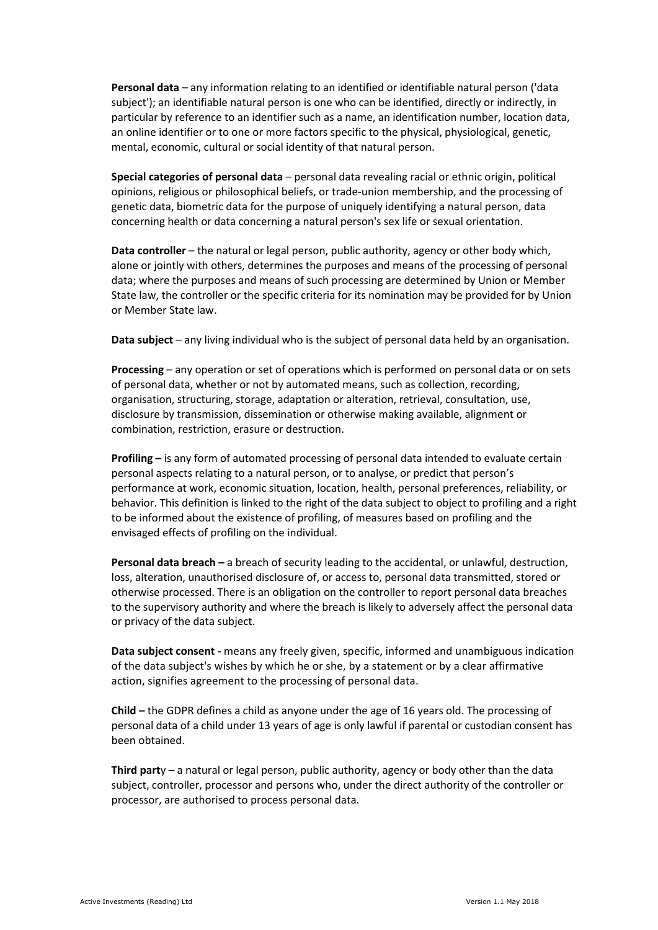**Personal data** – any information relating to an identified or identifiable natural person ('data subject'); an identifiable natural person is one who can be identified, directly or indirectly, in particular by reference to an identifier such as a name, an identification number, location data, an online identifier or to one or more factors specific to the physical, physiological, genetic, mental, economic, cultural or social identity of that natural person.

**Special categories of personal data** – personal data revealing racial or ethnic origin, political opinions, religious or philosophical beliefs, or trade-union membership, and the processing of genetic data, biometric data for the purpose of uniquely identifying a natural person, data concerning health or data concerning a natural person's sex life or sexual orientation.

**Data controller** – the natural or legal person, public authority, agency or other body which, alone or jointly with others, determines the purposes and means of the processing of personal data; where the purposes and means of such processing are determined by Union or Member State law, the controller or the specific criteria for its nomination may be provided for by Union or Member State law.

**Data subject** – any living individual who is the subject of personal data held by an organisation.

**Processing** – any operation or set of operations which is performed on personal data or on sets of personal data, whether or not by automated means, such as collection, recording, organisation, structuring, storage, adaptation or alteration, retrieval, consultation, use, disclosure by transmission, dissemination or otherwise making available, alignment or combination, restriction, erasure or destruction.

**Profiling** – is any form of automated processing of personal data intended to evaluate certain personal aspects relating to a natural person, or to analyse, or predict that person's performance at work, economic situation, location, health, personal preferences, reliability, or behavior. This definition is linked to the right of the data subject to object to profiling and a right to be informed about the existence of profiling, of measures based on profiling and the envisaged effects of profiling on the individual.

**Personal data breach** – a breach of security leading to the accidental, or unlawful, destruction, loss, alteration, unauthorised disclosure of, or access to, personal data transmitted, stored or otherwise processed. There is an obligation on the controller to report personal data breaches to the supervisory authority and where the breach is likely to adversely affect the personal data or privacy of the data subject.

**Data subject consent** - means any freely given, specific, informed and unambiguous indication of the data subject's wishes by which he or she, by a statement or by a clear affirmative action, signifies agreement to the processing of personal data.

**Child** – the GDPR defines a child as anyone under the age of 16 years old. The processing of personal data of a child under 13 years of age is only lawful if parental or custodian consent has been obtained. 

**Third party** – a natural or legal person, public authority, agency or body other than the data subject, controller, processor and persons who, under the direct authority of the controller or processor, are authorised to process personal data.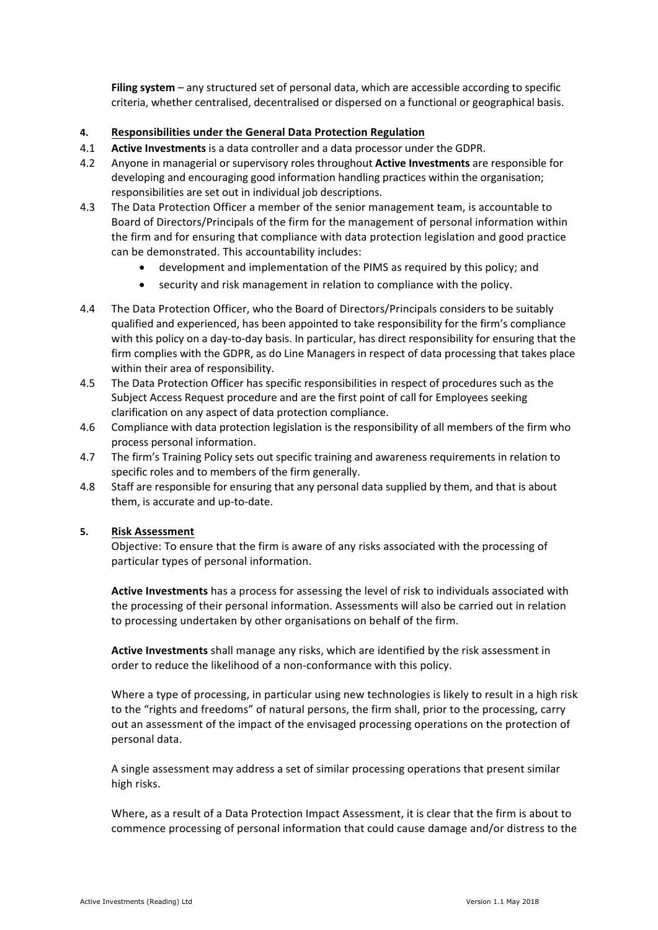**Filing system** – any structured set of personal data, which are accessible according to specific criteria, whether centralised, decentralised or dispersed on a functional or geographical basis.

# **4. Responsibilities under the General Data Protection Regulation**

- 4.1 **Active Investments** is a data controller and a data processor under the GDPR.
- 4.2 Anyone in managerial or supervisory roles throughout **Active Investments** are responsible for developing and encouraging good information handling practices within the organisation; responsibilities are set out in individual job descriptions.
- 4.3 The Data Protection Officer a member of the senior management team, is accountable to Board of Directors/Principals of the firm for the management of personal information within the firm and for ensuring that compliance with data protection legislation and good practice can be demonstrated. This accountability includes:
	- development and implementation of the PIMS as required by this policy; and
	- security and risk management in relation to compliance with the policy.
- 4.4 The Data Protection Officer, who the Board of Directors/Principals considers to be suitably qualified and experienced, has been appointed to take responsibility for the firm's compliance with this policy on a day-to-day basis. In particular, has direct responsibility for ensuring that the firm complies with the GDPR, as do Line Managers in respect of data processing that takes place within their area of responsibility.
- 4.5 The Data Protection Officer has specific responsibilities in respect of procedures such as the Subject Access Request procedure and are the first point of call for Employees seeking clarification on any aspect of data protection compliance.
- 4.6 Compliance with data protection legislation is the responsibility of all members of the firm who process personal information.
- 4.7 The firm's Training Policy sets out specific training and awareness requirements in relation to specific roles and to members of the firm generally.
- 4.8 Staff are responsible for ensuring that any personal data supplied by them, and that is about them, is accurate and up-to-date.

# **5. Risk Assessment**

Objective: To ensure that the firm is aware of any risks associated with the processing of particular types of personal information.

Active Investments has a process for assessing the level of risk to individuals associated with the processing of their personal information. Assessments will also be carried out in relation to processing undertaken by other organisations on behalf of the firm.

**Active Investments** shall manage any risks, which are identified by the risk assessment in order to reduce the likelihood of a non-conformance with this policy.

Where a type of processing, in particular using new technologies is likely to result in a high risk to the "rights and freedoms" of natural persons, the firm shall, prior to the processing, carry out an assessment of the impact of the envisaged processing operations on the protection of personal data.

A single assessment may address a set of similar processing operations that present similar high risks.

Where, as a result of a Data Protection Impact Assessment, it is clear that the firm is about to commence processing of personal information that could cause damage and/or distress to the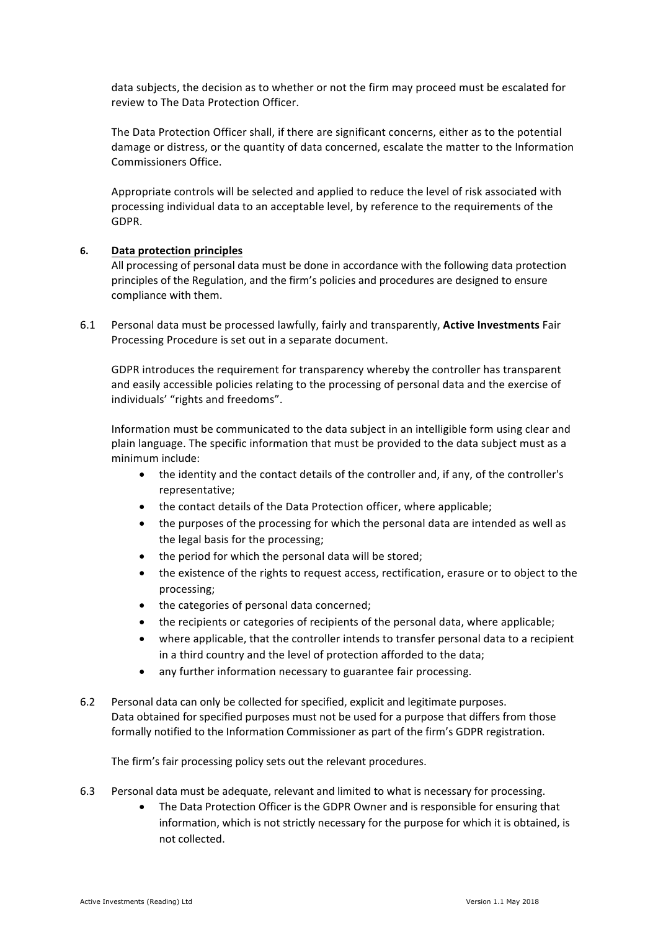data subjects, the decision as to whether or not the firm may proceed must be escalated for review to The Data Protection Officer.

The Data Protection Officer shall, if there are significant concerns, either as to the potential damage or distress, or the quantity of data concerned, escalate the matter to the Information Commissioners Office. 

Appropriate controls will be selected and applied to reduce the level of risk associated with processing individual data to an acceptable level, by reference to the requirements of the GDPR.

# **6. Data protection principles**

All processing of personal data must be done in accordance with the following data protection principles of the Regulation, and the firm's policies and procedures are designed to ensure compliance with them.

6.1 Personal data must be processed lawfully, fairly and transparently, **Active Investments** Fair Processing Procedure is set out in a separate document.

GDPR introduces the requirement for transparency whereby the controller has transparent and easily accessible policies relating to the processing of personal data and the exercise of individuals' "rights and freedoms".

Information must be communicated to the data subject in an intelligible form using clear and plain language. The specific information that must be provided to the data subject must as a minimum include:

- the identity and the contact details of the controller and, if any, of the controller's representative;
- the contact details of the Data Protection officer, where applicable;
- the purposes of the processing for which the personal data are intended as well as the legal basis for the processing;
- the period for which the personal data will be stored;
- the existence of the rights to request access, rectification, erasure or to object to the processing;
- the categories of personal data concerned;
- the recipients or categories of recipients of the personal data, where applicable;
- where applicable, that the controller intends to transfer personal data to a recipient in a third country and the level of protection afforded to the data;
- any further information necessary to guarantee fair processing.
- 6.2 Personal data can only be collected for specified, explicit and legitimate purposes. Data obtained for specified purposes must not be used for a purpose that differs from those formally notified to the Information Commissioner as part of the firm's GDPR registration.

The firm's fair processing policy sets out the relevant procedures.

- 6.3 Personal data must be adequate, relevant and limited to what is necessary for processing.
	- The Data Protection Officer is the GDPR Owner and is responsible for ensuring that information, which is not strictly necessary for the purpose for which it is obtained, is not collected.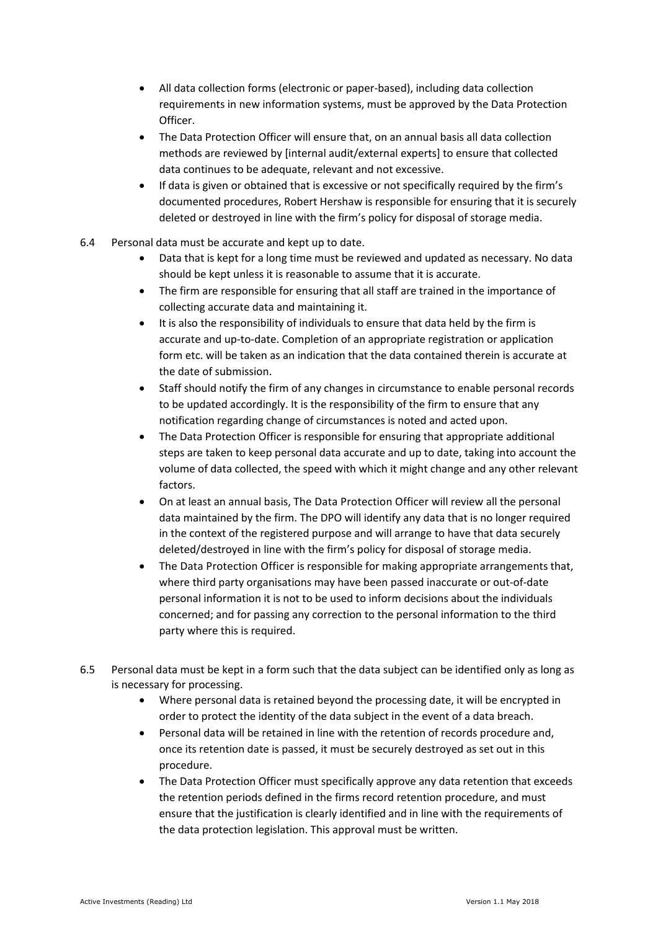- All data collection forms (electronic or paper-based), including data collection requirements in new information systems, must be approved by the Data Protection Officer.
- The Data Protection Officer will ensure that, on an annual basis all data collection methods are reviewed by [internal audit/external experts] to ensure that collected data continues to be adequate, relevant and not excessive.
- If data is given or obtained that is excessive or not specifically required by the firm's documented procedures. Robert Hershaw is responsible for ensuring that it is securely deleted or destroyed in line with the firm's policy for disposal of storage media.
- 6.4 Personal data must be accurate and kept up to date.
	- Data that is kept for a long time must be reviewed and updated as necessary. No data should be kept unless it is reasonable to assume that it is accurate.
	- The firm are responsible for ensuring that all staff are trained in the importance of collecting accurate data and maintaining it.
	- It is also the responsibility of individuals to ensure that data held by the firm is accurate and up-to-date. Completion of an appropriate registration or application form etc. will be taken as an indication that the data contained therein is accurate at the date of submission.
	- Staff should notify the firm of any changes in circumstance to enable personal records to be updated accordingly. It is the responsibility of the firm to ensure that any notification regarding change of circumstances is noted and acted upon.
	- The Data Protection Officer is responsible for ensuring that appropriate additional steps are taken to keep personal data accurate and up to date, taking into account the volume of data collected, the speed with which it might change and any other relevant factors.
	- On at least an annual basis, The Data Protection Officer will review all the personal data maintained by the firm. The DPO will identify any data that is no longer required in the context of the registered purpose and will arrange to have that data securely deleted/destroyed in line with the firm's policy for disposal of storage media.
	- The Data Protection Officer is responsible for making appropriate arrangements that, where third party organisations may have been passed inaccurate or out-of-date personal information it is not to be used to inform decisions about the individuals concerned; and for passing any correction to the personal information to the third party where this is required.
- 6.5 Personal data must be kept in a form such that the data subject can be identified only as long as is necessary for processing.
	- Where personal data is retained beyond the processing date, it will be encrypted in order to protect the identity of the data subject in the event of a data breach.
	- Personal data will be retained in line with the retention of records procedure and, once its retention date is passed, it must be securely destroyed as set out in this procedure.
	- The Data Protection Officer must specifically approve any data retention that exceeds the retention periods defined in the firms record retention procedure, and must ensure that the justification is clearly identified and in line with the requirements of the data protection legislation. This approval must be written.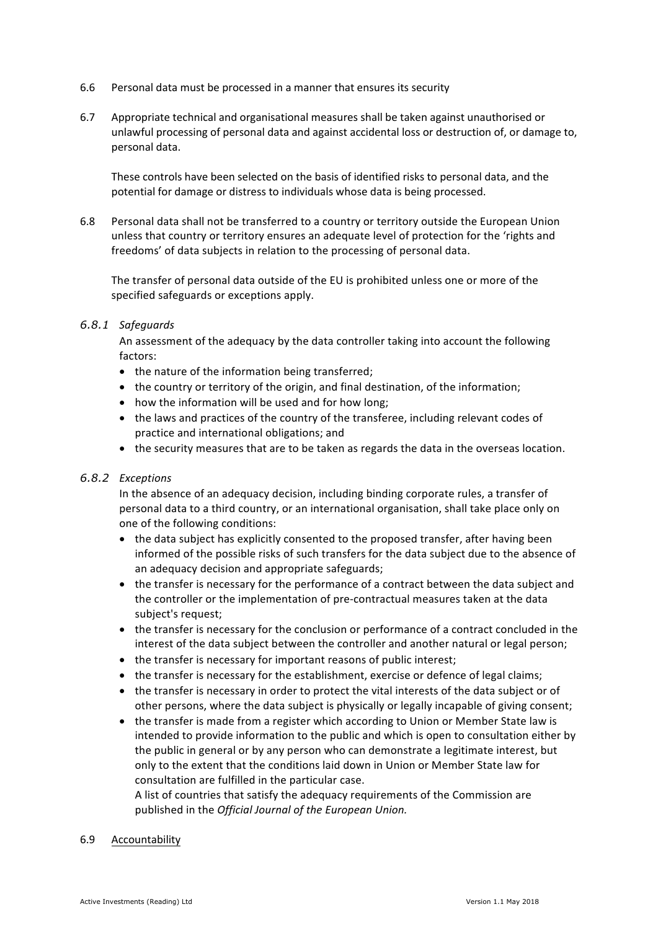- 6.6 Personal data must be processed in a manner that ensures its security
- 6.7 Appropriate technical and organisational measures shall be taken against unauthorised or unlawful processing of personal data and against accidental loss or destruction of, or damage to, personal data.

These controls have been selected on the basis of identified risks to personal data, and the potential for damage or distress to individuals whose data is being processed.

6.8 Personal data shall not be transferred to a country or territory outside the European Union unless that country or territory ensures an adequate level of protection for the 'rights and freedoms' of data subjects in relation to the processing of personal data.

The transfer of personal data outside of the EU is prohibited unless one or more of the specified safeguards or exceptions apply.

#### *6.8.1 Safeguards*

An assessment of the adequacy by the data controller taking into account the following factors:

- the nature of the information being transferred;
- the country or territory of the origin, and final destination, of the information;
- how the information will be used and for how long;
- the laws and practices of the country of the transferee, including relevant codes of practice and international obligations; and
- the security measures that are to be taken as regards the data in the overseas location.

# *6.8.2 Exceptions*

In the absence of an adequacy decision, including binding corporate rules, a transfer of personal data to a third country, or an international organisation, shall take place only on one of the following conditions:

- the data subject has explicitly consented to the proposed transfer, after having been informed of the possible risks of such transfers for the data subject due to the absence of an adequacy decision and appropriate safeguards;
- the transfer is necessary for the performance of a contract between the data subject and the controller or the implementation of pre-contractual measures taken at the data subject's request;
- the transfer is necessary for the conclusion or performance of a contract concluded in the interest of the data subject between the controller and another natural or legal person;
- the transfer is necessary for important reasons of public interest;
- the transfer is necessary for the establishment, exercise or defence of legal claims;
- the transfer is necessary in order to protect the vital interests of the data subject or of other persons, where the data subject is physically or legally incapable of giving consent;
- the transfer is made from a register which according to Union or Member State law is intended to provide information to the public and which is open to consultation either by the public in general or by any person who can demonstrate a legitimate interest, but only to the extent that the conditions laid down in Union or Member State law for consultation are fulfilled in the particular case.

A list of countries that satisfy the adequacy requirements of the Commission are published in the *Official Journal of the European Union*.

#### 6.9 Accountability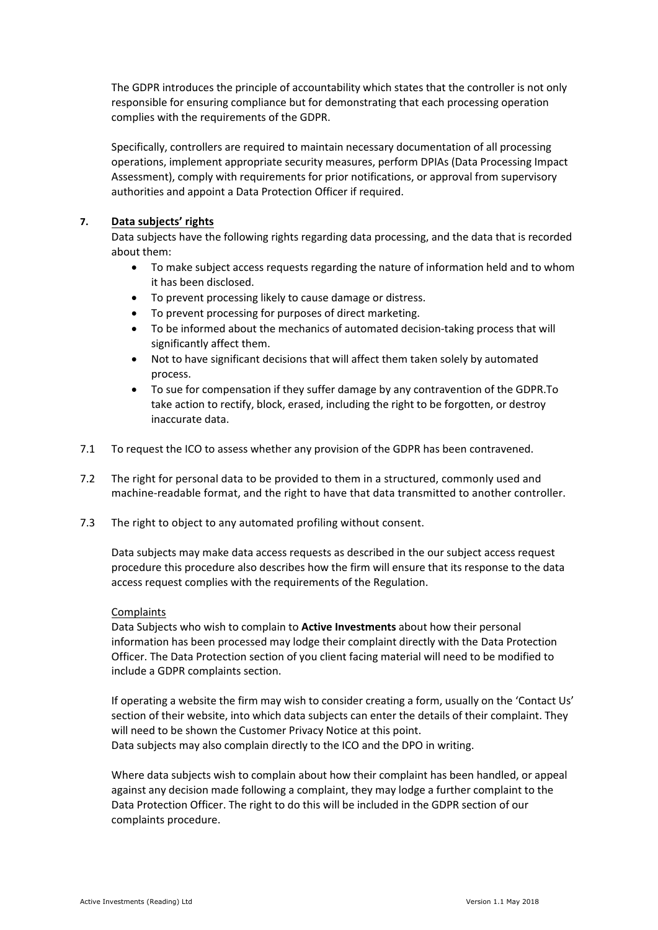The GDPR introduces the principle of accountability which states that the controller is not only responsible for ensuring compliance but for demonstrating that each processing operation complies with the requirements of the GDPR.

Specifically, controllers are required to maintain necessary documentation of all processing operations, implement appropriate security measures, perform DPIAs (Data Processing Impact Assessment), comply with requirements for prior notifications, or approval from supervisory authorities and appoint a Data Protection Officer if required.

# **7. Data subjects' rights**

Data subjects have the following rights regarding data processing, and the data that is recorded about them:

- To make subject access requests regarding the nature of information held and to whom it has been disclosed.
- To prevent processing likely to cause damage or distress.
- To prevent processing for purposes of direct marketing.
- To be informed about the mechanics of automated decision-taking process that will significantly affect them.
- Not to have significant decisions that will affect them taken solely by automated process.
- To sue for compensation if they suffer damage by any contravention of the GDPR.To take action to rectify, block, erased, including the right to be forgotten, or destroy inaccurate data.
- 7.1 To request the ICO to assess whether any provision of the GDPR has been contravened.
- 7.2 The right for personal data to be provided to them in a structured, commonly used and machine-readable format, and the right to have that data transmitted to another controller.
- 7.3 The right to object to any automated profiling without consent.

Data subjects may make data access requests as described in the our subject access request procedure this procedure also describes how the firm will ensure that its response to the data access request complies with the requirements of the Regulation.

#### Complaints

Data Subjects who wish to complain to **Active Investments** about how their personal information has been processed may lodge their complaint directly with the Data Protection Officer. The Data Protection section of you client facing material will need to be modified to include a GDPR complaints section.

If operating a website the firm may wish to consider creating a form, usually on the 'Contact Us' section of their website, into which data subjects can enter the details of their complaint. They will need to be shown the Customer Privacy Notice at this point. Data subjects may also complain directly to the ICO and the DPO in writing.

Where data subjects wish to complain about how their complaint has been handled, or appeal against any decision made following a complaint, they may lodge a further complaint to the Data Protection Officer. The right to do this will be included in the GDPR section of our complaints procedure.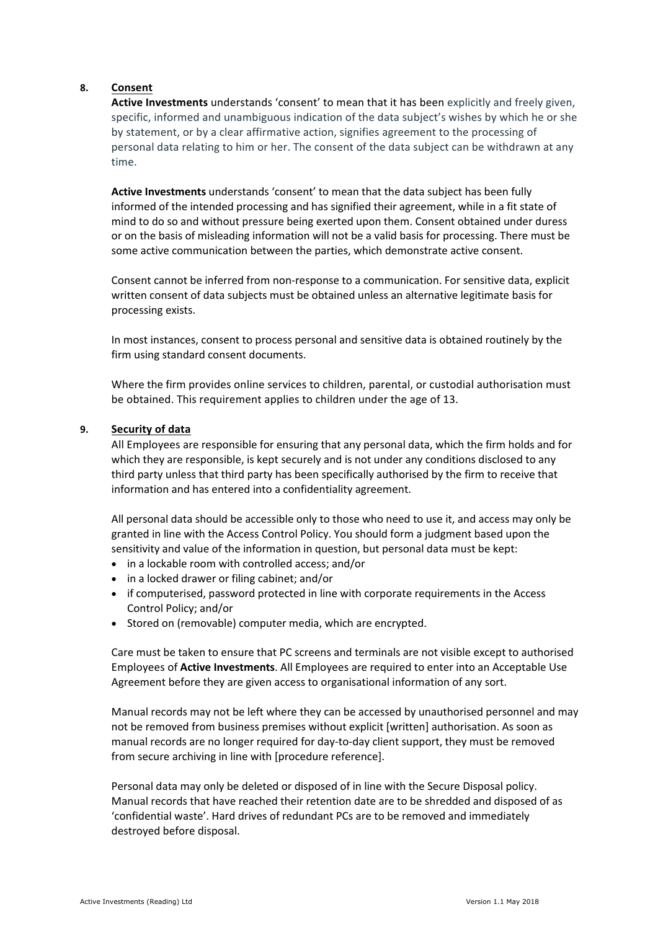#### **8. Consent**

Active Investments understands 'consent' to mean that it has been explicitly and freely given, specific, informed and unambiguous indication of the data subiect's wishes by which he or she by statement, or by a clear affirmative action, signifies agreement to the processing of personal data relating to him or her. The consent of the data subject can be withdrawn at any time.

**Active Investments** understands 'consent' to mean that the data subject has been fully informed of the intended processing and has signified their agreement, while in a fit state of mind to do so and without pressure being exerted upon them. Consent obtained under duress or on the basis of misleading information will not be a valid basis for processing. There must be some active communication between the parties, which demonstrate active consent.

Consent cannot be inferred from non-response to a communication. For sensitive data, explicit written consent of data subjects must be obtained unless an alternative legitimate basis for processing exists.

In most instances, consent to process personal and sensitive data is obtained routinely by the firm using standard consent documents.

Where the firm provides online services to children, parental, or custodial authorisation must be obtained. This requirement applies to children under the age of 13.

#### **9. Security of data**

All Employees are responsible for ensuring that any personal data, which the firm holds and for which they are responsible, is kept securely and is not under any conditions disclosed to any third party unless that third party has been specifically authorised by the firm to receive that information and has entered into a confidentiality agreement.

All personal data should be accessible only to those who need to use it, and access may only be granted in line with the Access Control Policy. You should form a judgment based upon the sensitivity and value of the information in question, but personal data must be kept:

- in a lockable room with controlled access; and/or
- in a locked drawer or filing cabinet; and/or
- if computerised, password protected in line with corporate requirements in the Access Control Policy; and/or
- Stored on (removable) computer media, which are encrypted.

Care must be taken to ensure that PC screens and terminals are not visible except to authorised Employees of **Active Investments**. All Employees are required to enter into an Acceptable Use Agreement before they are given access to organisational information of any sort.

Manual records may not be left where they can be accessed by unauthorised personnel and may not be removed from business premises without explicit [written] authorisation. As soon as manual records are no longer required for day-to-day client support, they must be removed from secure archiving in line with [procedure reference].

Personal data may only be deleted or disposed of in line with the Secure Disposal policy. Manual records that have reached their retention date are to be shredded and disposed of as 'confidential waste'. Hard drives of redundant PCs are to be removed and immediately destroyed before disposal.